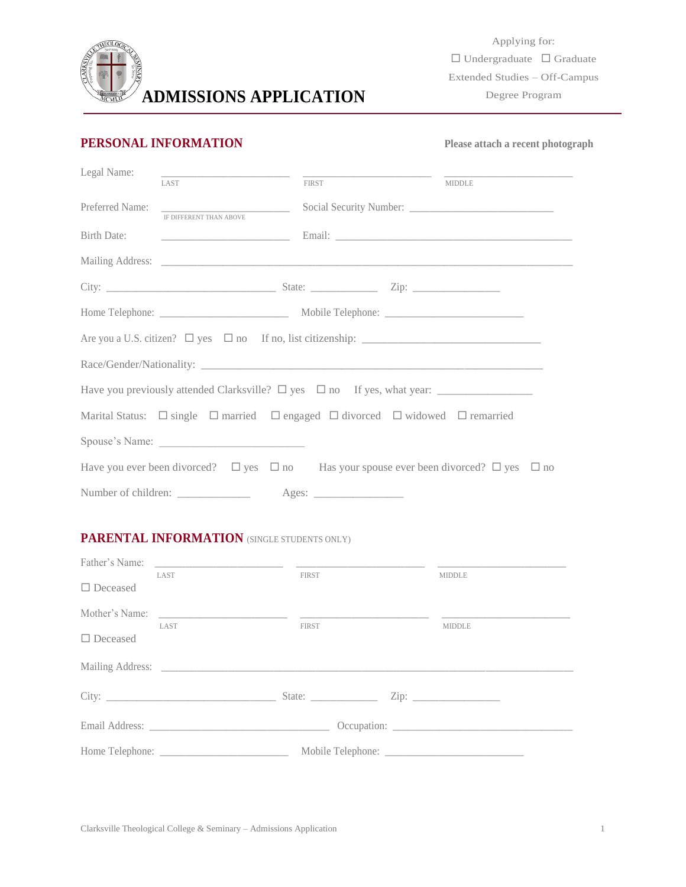

# **PERSONAL INFORMATION** Please attach a recent photograph

| Legal Name:     | <u> 2000 - Jan James James Jan James James James James James James James James James James James James James Jam</u> |  |       |  |               |  |
|-----------------|----------------------------------------------------------------------------------------------------------------------|--|-------|--|---------------|--|
|                 | LAST                                                                                                                 |  | FIRST |  | <b>MIDDLE</b> |  |
| Preferred Name: |                                                                                                                      |  |       |  |               |  |
|                 | <b>IF DIFFERENT THAN ABOVE</b>                                                                                       |  |       |  |               |  |
|                 |                                                                                                                      |  |       |  |               |  |
|                 |                                                                                                                      |  |       |  |               |  |
|                 |                                                                                                                      |  |       |  |               |  |
|                 |                                                                                                                      |  |       |  |               |  |
|                 |                                                                                                                      |  |       |  |               |  |
|                 |                                                                                                                      |  |       |  |               |  |
|                 |                                                                                                                      |  |       |  |               |  |
|                 | Marital Status: $\Box$ single $\Box$ married $\Box$ engaged $\Box$ divorced $\Box$ widowed $\Box$ remarried          |  |       |  |               |  |
|                 | Spouse's Name:                                                                                                       |  |       |  |               |  |
|                 | Have you ever been divorced? $\Box$ yes $\Box$ no Has your spouse ever been divorced? $\Box$ yes $\Box$ no           |  |       |  |               |  |
|                 |                                                                                                                      |  |       |  |               |  |

# **PARENTAL INFORMATION** (SINGLE STUDENTS ONLY)

| $\Box$ Deceased | LAST | <b>FIRST</b> |  | <b>MIDDLE</b> |
|-----------------|------|--------------|--|---------------|
|                 | LAST | FIRST        |  | <b>MIDDLE</b> |
| $\Box$ Deceased |      |              |  |               |
|                 |      |              |  |               |
|                 |      |              |  |               |
|                 |      |              |  |               |
|                 |      |              |  |               |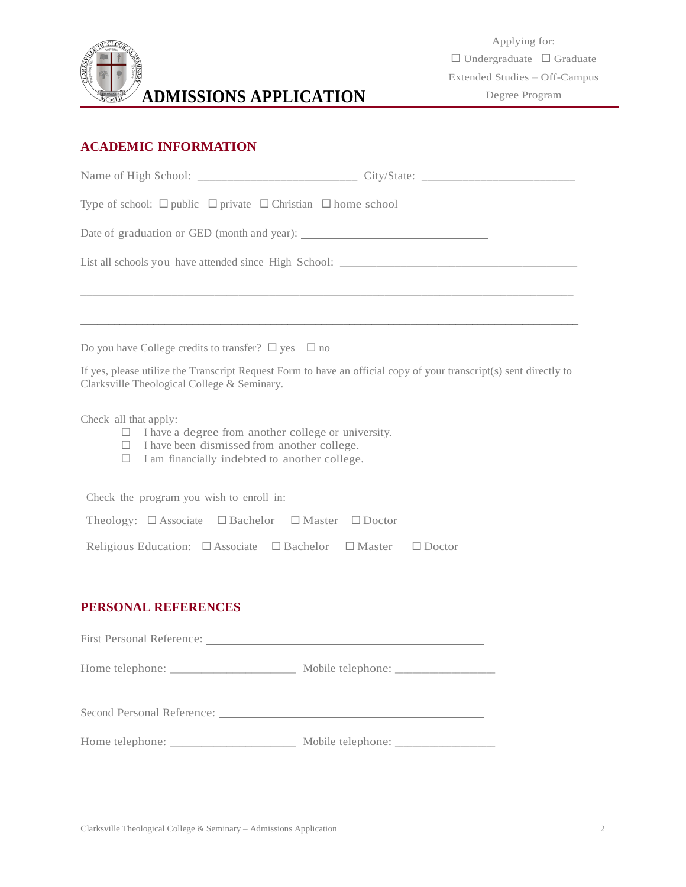

# **ACADEMIC INFORMATION**

| Type of school: $\Box$ public $\Box$ private $\Box$ Christian $\Box$ home school                                                                                                                           |                                                                                                                    |
|------------------------------------------------------------------------------------------------------------------------------------------------------------------------------------------------------------|--------------------------------------------------------------------------------------------------------------------|
| Date of graduation or GED (month and year):                                                                                                                                                                |                                                                                                                    |
|                                                                                                                                                                                                            |                                                                                                                    |
|                                                                                                                                                                                                            |                                                                                                                    |
| Do you have College credits to transfer? $\square$ yes $\square$ no                                                                                                                                        |                                                                                                                    |
| Clarksville Theological College & Seminary.                                                                                                                                                                | If yes, please utilize the Transcript Request Form to have an official copy of your transcript(s) sent directly to |
| Check all that apply:<br>I have a degree from another college or university.<br>$\Box$<br>I have been dismissed from another college.<br>$\Box$<br>I am financially indebted to another college.<br>$\Box$ |                                                                                                                    |
| Check the program you wish to enroll in:                                                                                                                                                                   |                                                                                                                    |
| Theology: $\Box$ Associate $\Box$ Bachelor $\Box$ Master $\Box$ Doctor                                                                                                                                     |                                                                                                                    |
| Religious Education: □ Associate □ Bachelor □ Master □ Doctor                                                                                                                                              |                                                                                                                    |
| PERSONAL REFERENCES                                                                                                                                                                                        |                                                                                                                    |
|                                                                                                                                                                                                            |                                                                                                                    |
|                                                                                                                                                                                                            |                                                                                                                    |
|                                                                                                                                                                                                            |                                                                                                                    |
| Home telephone:<br>Mobile telephone:                                                                                                                                                                       |                                                                                                                    |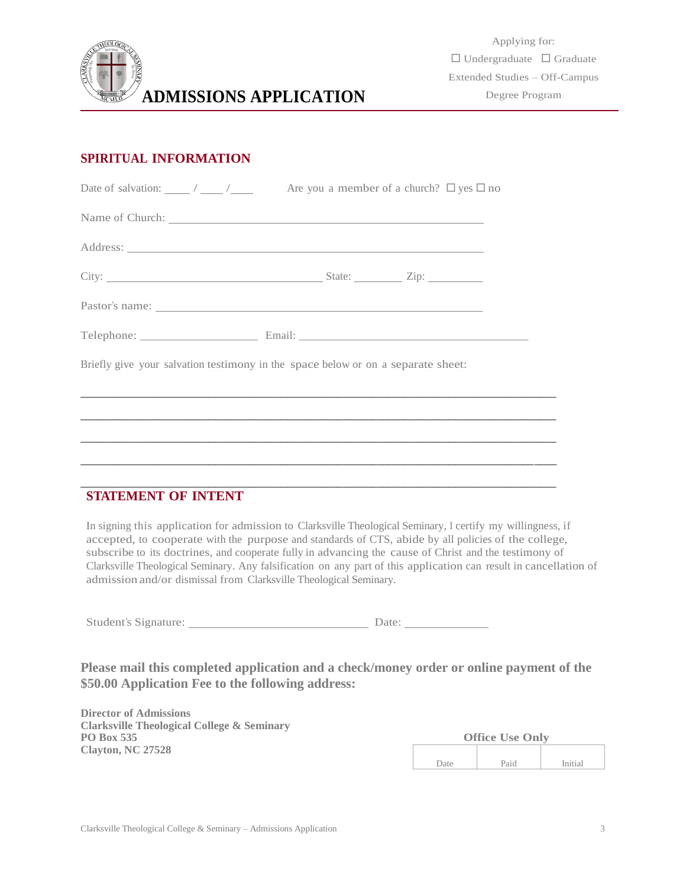

## **SPIRITUAL INFORMATION**

| Briefly give your salvation testimony in the space below or on a separate sheet:                                                                                                                                                                                                                                                                                                                                                                 |  |  |
|--------------------------------------------------------------------------------------------------------------------------------------------------------------------------------------------------------------------------------------------------------------------------------------------------------------------------------------------------------------------------------------------------------------------------------------------------|--|--|
|                                                                                                                                                                                                                                                                                                                                                                                                                                                  |  |  |
|                                                                                                                                                                                                                                                                                                                                                                                                                                                  |  |  |
| <b>STATEMENT OF INTENT</b>                                                                                                                                                                                                                                                                                                                                                                                                                       |  |  |
| In signing this application for admission to Clarksville Theological Seminary, I certify my willingness, if<br>accepted, to cooperate with the purpose and standards of CTS, abide by all policies of the college,<br>subscribe to its doctrines, and cooperate fully in advancing the cause of Christ and the testimony of<br>Clarksville Theological Seminary. Any falsification on any part of this application can result in cancellation of |  |  |

Student's Signature: Date:

admission and/or dismissal from Clarksville Theological Seminary.

**Please mail this completed application and a check/money order or online payment of the \$50.00 Application Fee to the following address:**

**Director of Admissions Clarksville Theological College & Seminary PO Box 535 Clayton, NC 27528**

|      | <b>Office Use Only</b> |         |
|------|------------------------|---------|
|      |                        |         |
| Date | Paid                   | Initial |